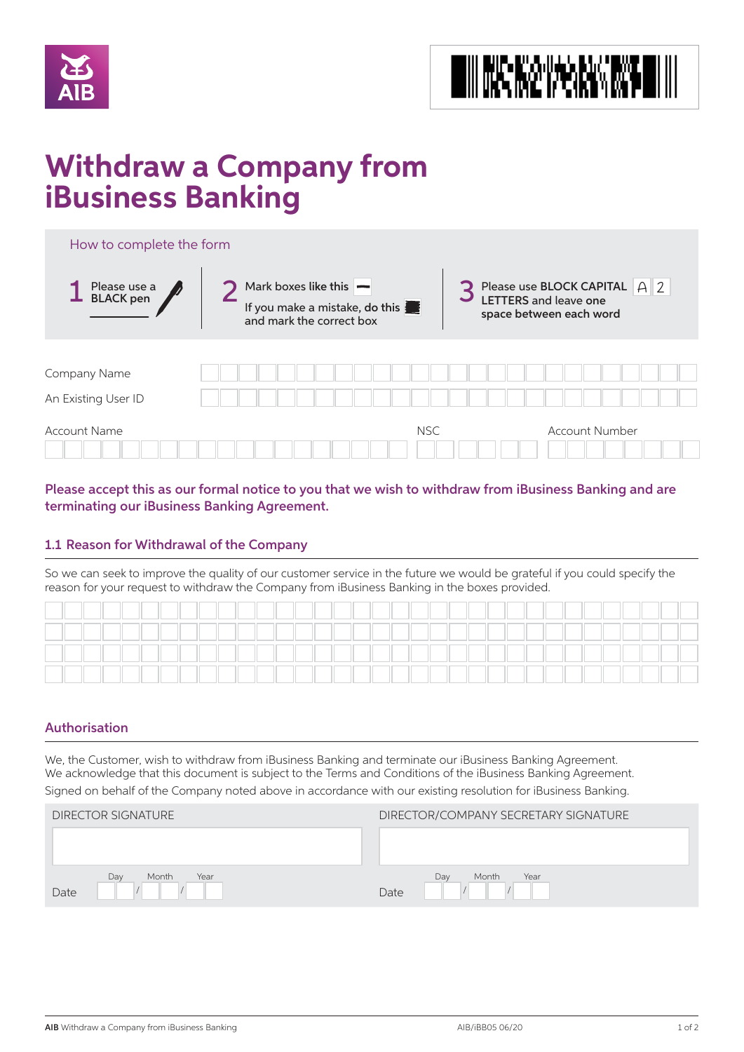



# **Withdraw a Company from iBusiness Banking**

| How to complete the form            |                                                                                                          |                                                                                                                                 |
|-------------------------------------|----------------------------------------------------------------------------------------------------------|---------------------------------------------------------------------------------------------------------------------------------|
| 1 Please use a<br>BLACK pen         | Mark boxes like this $\blacktriangleright$<br>If you make a mistake, do this<br>and mark the correct box | Please use BLOCK CAPITAL $\begin{array}{ c c c }\n\hline\n\text{LETTERS and leave one}\n\end{array}$<br>space between each word |
| Company Name<br>An Existing User ID |                                                                                                          |                                                                                                                                 |
| <b>Account Name</b>                 | <b>NSC</b>                                                                                               | <b>Account Number</b>                                                                                                           |

Please accept this as our formal notice to you that we wish to withdraw from iBusiness Banking and are terminating our iBusiness Banking Agreement.

# 1.1 Reason for Withdrawal of the Company

So we can seek to improve the quality of our customer service in the future we would be grateful if you could specify the reason for your request to withdraw the Company from iBusiness Banking in the boxes provided.

|  |  |  |  |  |  |  |  | ___ |  |  |  |  |  |  |  |  |
|--|--|--|--|--|--|--|--|-----|--|--|--|--|--|--|--|--|
|  |  |  |  |  |  |  |  |     |  |  |  |  |  |  |  |  |
|  |  |  |  |  |  |  |  |     |  |  |  |  |  |  |  |  |
|  |  |  |  |  |  |  |  |     |  |  |  |  |  |  |  |  |

# Authorisation

We, the Customer, wish to withdraw from iBusiness Banking and terminate our iBusiness Banking Agreement. We acknowledge that this document is subject to the Terms and Conditions of the iBusiness Banking Agreement. Signed on behalf of the Company noted above in accordance with our existing resolution for iBusiness Banking.

| <b>DIRECTOR SIGNATURE</b>    | DIRECTOR/COMPANY SECRETARY SIGNATURE |
|------------------------------|--------------------------------------|
|                              |                                      |
| Day<br>Month<br>Year<br>Date | Day<br>Month<br>Year<br>Date         |